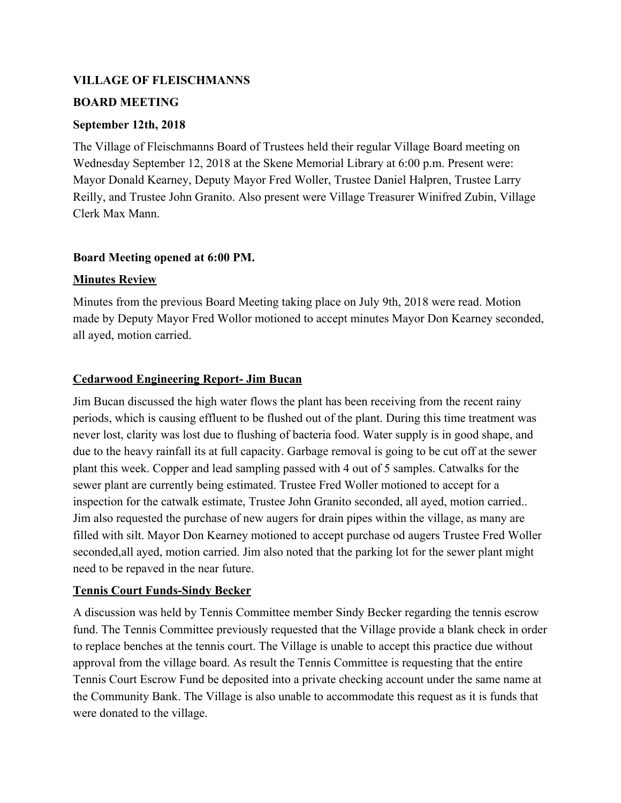#### **VILLAGE OF FLEISCHMANNS**

#### **BOARD MEETING**

#### **September 12th, 2018**

The Village of Fleischmanns Board of Trustees held their regular Village Board meeting on Wednesday September 12, 2018 at the Skene Memorial Library at 6:00 p.m. Present were: Mayor Donald Kearney, Deputy Mayor Fred Woller, Trustee Daniel Halpren, Trustee Larry Reilly, and Trustee John Granito. Also present were Village Treasurer Winifred Zubin, Village Clerk Max Mann.

#### **Board Meeting opened at 6:00 PM.**

#### **Minutes Review**

Minutes from the previous Board Meeting taking place on July 9th, 2018 were read. Motion made by Deputy Mayor Fred Wollor motioned to accept minutes Mayor Don Kearney seconded, all ayed, motion carried.

## **Cedarwood Engineering Report- Jim Bucan**

Jim Bucan discussed the high water flows the plant has been receiving from the recent rainy periods, which is causing effluent to be flushed out of the plant. During this time treatment was never lost, clarity was lost due to flushing of bacteria food. Water supply is in good shape, and due to the heavy rainfall its at full capacity. Garbage removal is going to be cut off at the sewer plant this week. Copper and lead sampling passed with 4 out of 5 samples. Catwalks for the sewer plant are currently being estimated. Trustee Fred Woller motioned to accept for a inspection for the catwalk estimate, Trustee John Granito seconded, all ayed, motion carried.. Jim also requested the purchase of new augers for drain pipes within the village, as many are filled with silt. Mayor Don Kearney motioned to accept purchase od augers Trustee Fred Woller seconded,all ayed, motion carried. Jim also noted that the parking lot for the sewer plant might need to be repaved in the near future.

## **Tennis Court Funds-Sindy Becker**

A discussion was held by Tennis Committee member Sindy Becker regarding the tennis escrow fund. The Tennis Committee previously requested that the Village provide a blank check in order to replace benches at the tennis court. The Village is unable to accept this practice due without approval from the village board. As result the Tennis Committee is requesting that the entire Tennis Court Escrow Fund be deposited into a private checking account under the same name at the Community Bank. The Village is also unable to accommodate this request as it is funds that were donated to the village.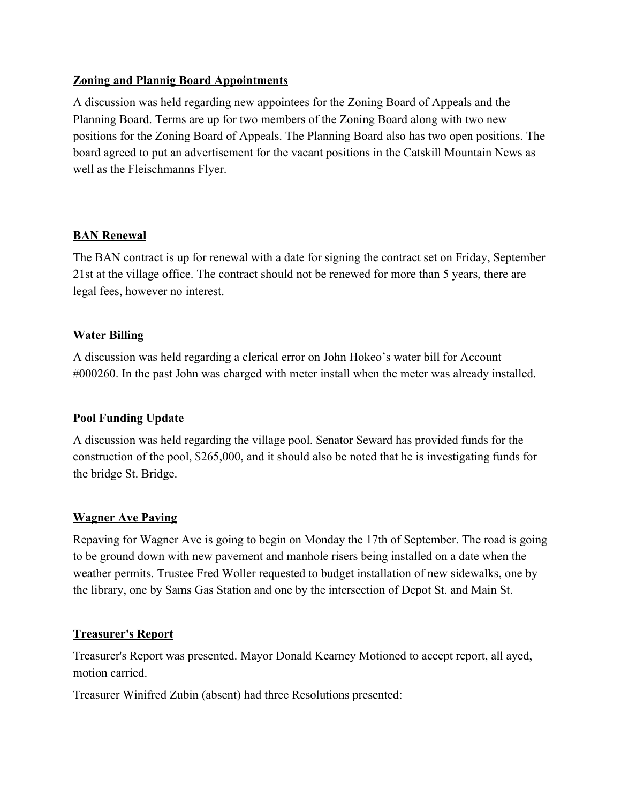## **Zoning and Plannig Board Appointments**

A discussion was held regarding new appointees for the Zoning Board of Appeals and the Planning Board. Terms are up for two members of the Zoning Board along with two new positions for the Zoning Board of Appeals. The Planning Board also has two open positions. The board agreed to put an advertisement for the vacant positions in the Catskill Mountain News as well as the Fleischmanns Flyer.

#### **BAN Renewal**

The BAN contract is up for renewal with a date for signing the contract set on Friday, September 21st at the village office. The contract should not be renewed for more than 5 years, there are legal fees, however no interest.

#### **Water Billing**

A discussion was held regarding a clerical error on John Hokeo's water bill for Account #000260. In the past John was charged with meter install when the meter was already installed.

## **Pool Funding Update**

A discussion was held regarding the village pool. Senator Seward has provided funds for the construction of the pool, \$265,000, and it should also be noted that he is investigating funds for the bridge St. Bridge.

## **Wagner Ave Paving**

Repaving for Wagner Ave is going to begin on Monday the 17th of September. The road is going to be ground down with new pavement and manhole risers being installed on a date when the weather permits. Trustee Fred Woller requested to budget installation of new sidewalks, one by the library, one by Sams Gas Station and one by the intersection of Depot St. and Main St.

## **Treasurer's Report**

Treasurer's Report was presented. Mayor Donald Kearney Motioned to accept report, all ayed, motion carried.

Treasurer Winifred Zubin (absent) had three Resolutions presented: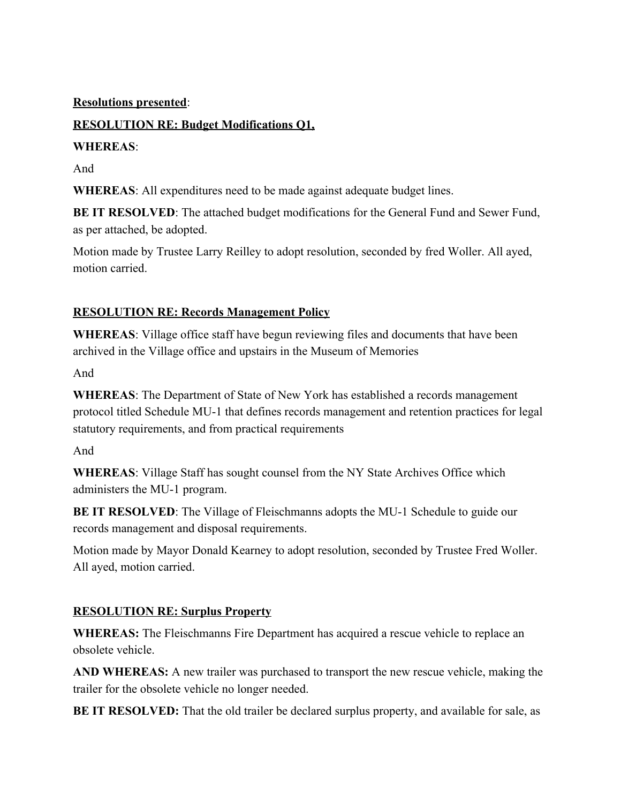## **Resolutions presented**:

# **RESOLUTION RE: Budget Modifications Q1,**

## **WHEREAS**:

And

**WHEREAS**: All expenditures need to be made against adequate budget lines.

**BE IT RESOLVED:** The attached budget modifications for the General Fund and Sewer Fund, as per attached, be adopted.

Motion made by Trustee Larry Reilley to adopt resolution, seconded by fred Woller. All ayed, motion carried.

# **RESOLUTION RE: Records Management Policy**

**WHEREAS**: Village office staff have begun reviewing files and documents that have been archived in the Village office and upstairs in the Museum of Memories

And

**WHEREAS**: The Department of State of New York has established a records management protocol titled Schedule MU-1 that defines records management and retention practices for legal statutory requirements, and from practical requirements

And

**WHEREAS**: Village Staff has sought counsel from the NY State Archives Office which administers the MU-1 program.

**BE IT RESOLVED**: The Village of Fleischmanns adopts the MU-1 Schedule to guide our records management and disposal requirements.

Motion made by Mayor Donald Kearney to adopt resolution, seconded by Trustee Fred Woller. All ayed, motion carried.

# **RESOLUTION RE: Surplus Property**

**WHEREAS:** The Fleischmanns Fire Department has acquired a rescue vehicle to replace an obsolete vehicle.

**AND WHEREAS:** A new trailer was purchased to transport the new rescue vehicle, making the trailer for the obsolete vehicle no longer needed.

**BE IT RESOLVED:** That the old trailer be declared surplus property, and available for sale, as